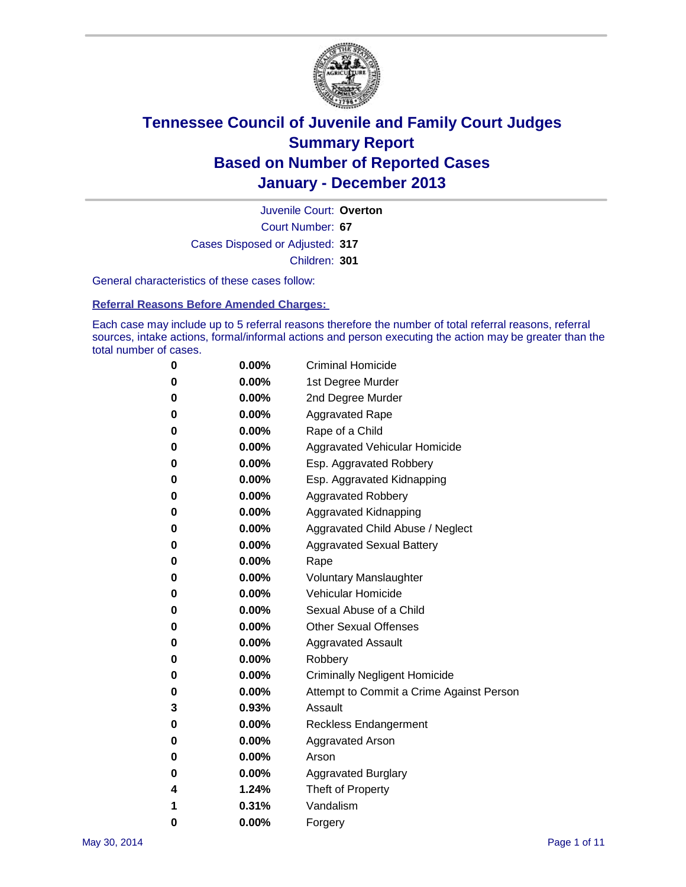

Court Number: **67** Juvenile Court: **Overton** Cases Disposed or Adjusted: **317** Children: **301**

General characteristics of these cases follow:

**Referral Reasons Before Amended Charges:** 

Each case may include up to 5 referral reasons therefore the number of total referral reasons, referral sources, intake actions, formal/informal actions and person executing the action may be greater than the total number of cases.

| 0 | $0.00\%$ | <b>Criminal Homicide</b>                 |
|---|----------|------------------------------------------|
| 0 | 0.00%    | 1st Degree Murder                        |
| 0 | 0.00%    | 2nd Degree Murder                        |
| 0 | $0.00\%$ | <b>Aggravated Rape</b>                   |
| 0 | 0.00%    | Rape of a Child                          |
| 0 | 0.00%    | Aggravated Vehicular Homicide            |
| 0 | $0.00\%$ | Esp. Aggravated Robbery                  |
| 0 | 0.00%    | Esp. Aggravated Kidnapping               |
| 0 | 0.00%    | <b>Aggravated Robbery</b>                |
| 0 | $0.00\%$ | Aggravated Kidnapping                    |
| 0 | $0.00\%$ | Aggravated Child Abuse / Neglect         |
| 0 | 0.00%    | <b>Aggravated Sexual Battery</b>         |
| 0 | $0.00\%$ | Rape                                     |
| 0 | $0.00\%$ | <b>Voluntary Manslaughter</b>            |
| 0 | 0.00%    | Vehicular Homicide                       |
| 0 | $0.00\%$ | Sexual Abuse of a Child                  |
| 0 | $0.00\%$ | <b>Other Sexual Offenses</b>             |
| 0 | 0.00%    | <b>Aggravated Assault</b>                |
| 0 | $0.00\%$ | Robbery                                  |
| 0 | 0.00%    | <b>Criminally Negligent Homicide</b>     |
| 0 | $0.00\%$ | Attempt to Commit a Crime Against Person |
| 3 | 0.93%    | Assault                                  |
| 0 | 0.00%    | <b>Reckless Endangerment</b>             |
| 0 | 0.00%    | Aggravated Arson                         |
| 0 | $0.00\%$ | Arson                                    |
| 0 | 0.00%    | <b>Aggravated Burglary</b>               |
| 4 | 1.24%    | Theft of Property                        |
| 1 | 0.31%    | Vandalism                                |
| 0 | 0.00%    | Forgery                                  |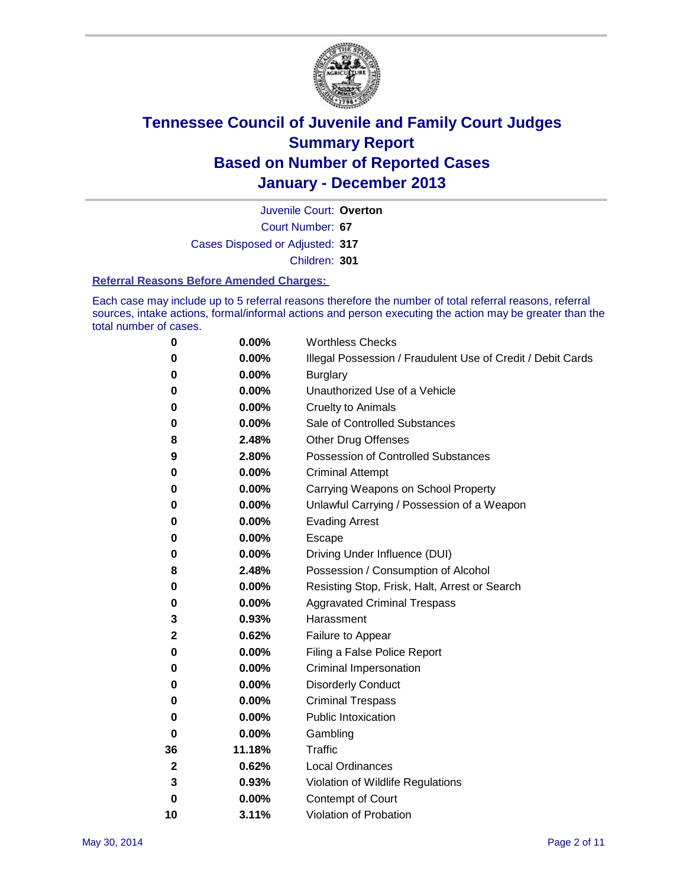

Court Number: **67** Juvenile Court: **Overton** Cases Disposed or Adjusted: **317** Children: **301**

#### **Referral Reasons Before Amended Charges:**

Each case may include up to 5 referral reasons therefore the number of total referral reasons, referral sources, intake actions, formal/informal actions and person executing the action may be greater than the total number of cases.

| 0            | 0.00%  | <b>Worthless Checks</b>                                     |
|--------------|--------|-------------------------------------------------------------|
| 0            | 0.00%  | Illegal Possession / Fraudulent Use of Credit / Debit Cards |
| 0            | 0.00%  | <b>Burglary</b>                                             |
| 0            | 0.00%  | Unauthorized Use of a Vehicle                               |
| 0            | 0.00%  | <b>Cruelty to Animals</b>                                   |
| 0            | 0.00%  | Sale of Controlled Substances                               |
| 8            | 2.48%  | <b>Other Drug Offenses</b>                                  |
| 9            | 2.80%  | <b>Possession of Controlled Substances</b>                  |
| 0            | 0.00%  | <b>Criminal Attempt</b>                                     |
| 0            | 0.00%  | Carrying Weapons on School Property                         |
| 0            | 0.00%  | Unlawful Carrying / Possession of a Weapon                  |
| 0            | 0.00%  | <b>Evading Arrest</b>                                       |
| 0            | 0.00%  | Escape                                                      |
| 0            | 0.00%  | Driving Under Influence (DUI)                               |
| 8            | 2.48%  | Possession / Consumption of Alcohol                         |
| 0            | 0.00%  | Resisting Stop, Frisk, Halt, Arrest or Search               |
| 0            | 0.00%  | <b>Aggravated Criminal Trespass</b>                         |
| 3            | 0.93%  | Harassment                                                  |
| $\mathbf{2}$ | 0.62%  | Failure to Appear                                           |
| 0            | 0.00%  | Filing a False Police Report                                |
| 0            | 0.00%  | Criminal Impersonation                                      |
| 0            | 0.00%  | <b>Disorderly Conduct</b>                                   |
| 0            | 0.00%  | <b>Criminal Trespass</b>                                    |
| 0            | 0.00%  | <b>Public Intoxication</b>                                  |
| 0            | 0.00%  | Gambling                                                    |
| 36           | 11.18% | <b>Traffic</b>                                              |
| 2            | 0.62%  | Local Ordinances                                            |
| 3            | 0.93%  | Violation of Wildlife Regulations                           |
| 0            | 0.00%  | Contempt of Court                                           |
| 10           | 3.11%  | Violation of Probation                                      |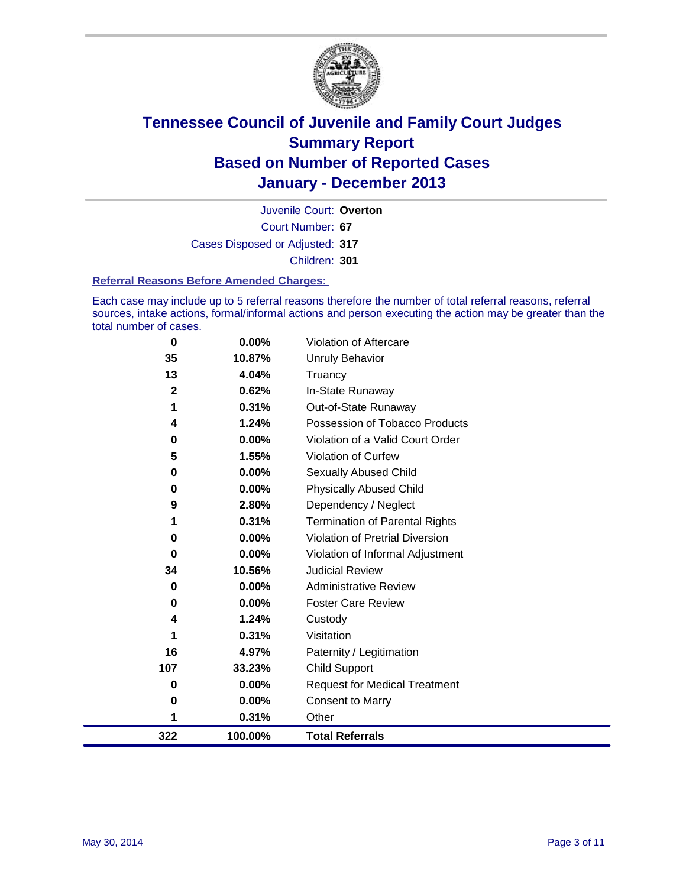

Court Number: **67** Juvenile Court: **Overton** Cases Disposed or Adjusted: **317** Children: **301**

#### **Referral Reasons Before Amended Charges:**

Each case may include up to 5 referral reasons therefore the number of total referral reasons, referral sources, intake actions, formal/informal actions and person executing the action may be greater than the total number of cases.

| $\bf{0}$     | $0.00\%$ | <b>Violation of Aftercare</b>          |
|--------------|----------|----------------------------------------|
| 35           | 10.87%   | <b>Unruly Behavior</b>                 |
| 13           | 4.04%    | Truancy                                |
| $\mathbf{2}$ | 0.62%    | In-State Runaway                       |
| 1            | 0.31%    | Out-of-State Runaway                   |
| 4            | 1.24%    | Possession of Tobacco Products         |
| 0            | 0.00%    | Violation of a Valid Court Order       |
| 5            | 1.55%    | <b>Violation of Curfew</b>             |
| 0            | $0.00\%$ | Sexually Abused Child                  |
| 0            | 0.00%    | <b>Physically Abused Child</b>         |
| 9            | 2.80%    | Dependency / Neglect                   |
| 1            | 0.31%    | <b>Termination of Parental Rights</b>  |
| 0            | 0.00%    | <b>Violation of Pretrial Diversion</b> |
| 0            | 0.00%    | Violation of Informal Adjustment       |
| 34           | 10.56%   | <b>Judicial Review</b>                 |
| 0            | 0.00%    | <b>Administrative Review</b>           |
| 0            | 0.00%    | <b>Foster Care Review</b>              |
| 4            | 1.24%    | Custody                                |
| 1            | 0.31%    | Visitation                             |
| 16           | 4.97%    | Paternity / Legitimation               |
| 107          | 33.23%   | <b>Child Support</b>                   |
| $\bf{0}$     | 0.00%    | <b>Request for Medical Treatment</b>   |
| 0            | 0.00%    | <b>Consent to Marry</b>                |
| 1            | 0.31%    | Other                                  |
| 322          | 100.00%  | <b>Total Referrals</b>                 |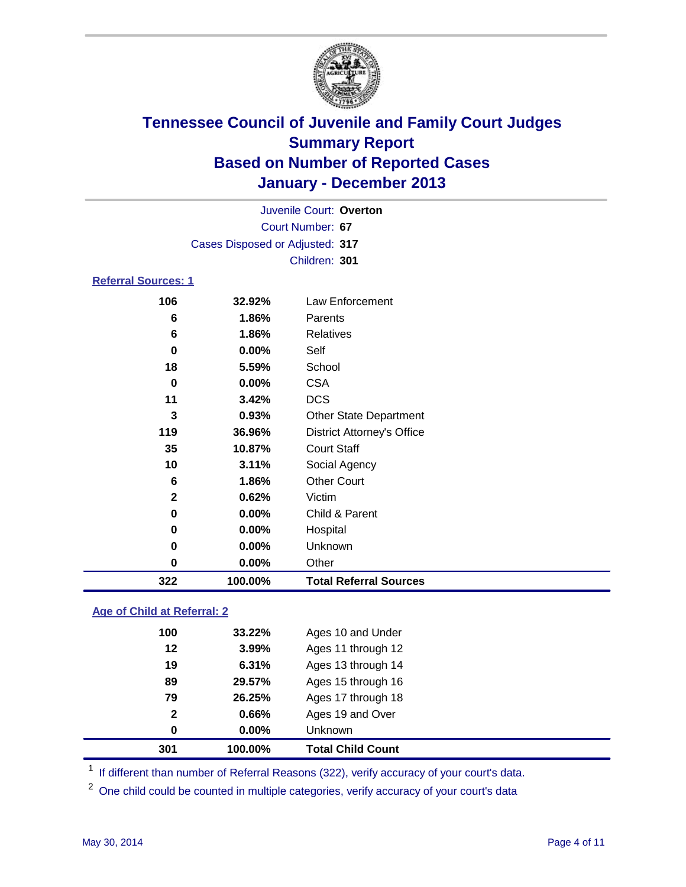

|                                 |                  | Juvenile Court: Overton           |  |  |  |  |
|---------------------------------|------------------|-----------------------------------|--|--|--|--|
|                                 | Court Number: 67 |                                   |  |  |  |  |
| Cases Disposed or Adjusted: 317 |                  |                                   |  |  |  |  |
|                                 | Children: 301    |                                   |  |  |  |  |
| <b>Referral Sources: 1</b>      |                  |                                   |  |  |  |  |
| 106                             | 32.92%           | Law Enforcement                   |  |  |  |  |
| 6                               | 1.86%            | Parents                           |  |  |  |  |
| 6                               | 1.86%            | <b>Relatives</b>                  |  |  |  |  |
| 0                               | $0.00\%$         | Self                              |  |  |  |  |
| 18                              | 5.59%            | School                            |  |  |  |  |
| 0                               | $0.00\%$         | <b>CSA</b>                        |  |  |  |  |
| 11                              | 3.42%            | <b>DCS</b>                        |  |  |  |  |
| 3                               | 0.93%            | <b>Other State Department</b>     |  |  |  |  |
| 119                             | 36.96%           | <b>District Attorney's Office</b> |  |  |  |  |
| 35                              | 10.87%           | <b>Court Staff</b>                |  |  |  |  |

| 322 | 100.00%  | <b>Total Referral Sources</b> |
|-----|----------|-------------------------------|
| 0   | $0.00\%$ | Other                         |
| 0   | $0.00\%$ | <b>Unknown</b>                |
| 0   | 0.00%    | Hospital                      |
| 0   | $0.00\%$ | Child & Parent                |
| 2   | 0.62%    | Victim                        |
| 6   | 1.86%    | <b>Other Court</b>            |
| 10  | 3.11%    | Social Agency                 |

### **Age of Child at Referral: 2**

|              |          | <b>Total Child Count</b> |
|--------------|----------|--------------------------|
| 0            | $0.00\%$ | Unknown                  |
| $\mathbf{2}$ | 0.66%    | Ages 19 and Over         |
| 79           | 26.25%   | Ages 17 through 18       |
| 89           | 29.57%   | Ages 15 through 16       |
| 19           | 6.31%    | Ages 13 through 14       |
| 12           | 3.99%    | Ages 11 through 12       |
| 100          | 33.22%   | Ages 10 and Under        |
|              |          | 301<br>100.00%           |

<sup>1</sup> If different than number of Referral Reasons (322), verify accuracy of your court's data.

<sup>2</sup> One child could be counted in multiple categories, verify accuracy of your court's data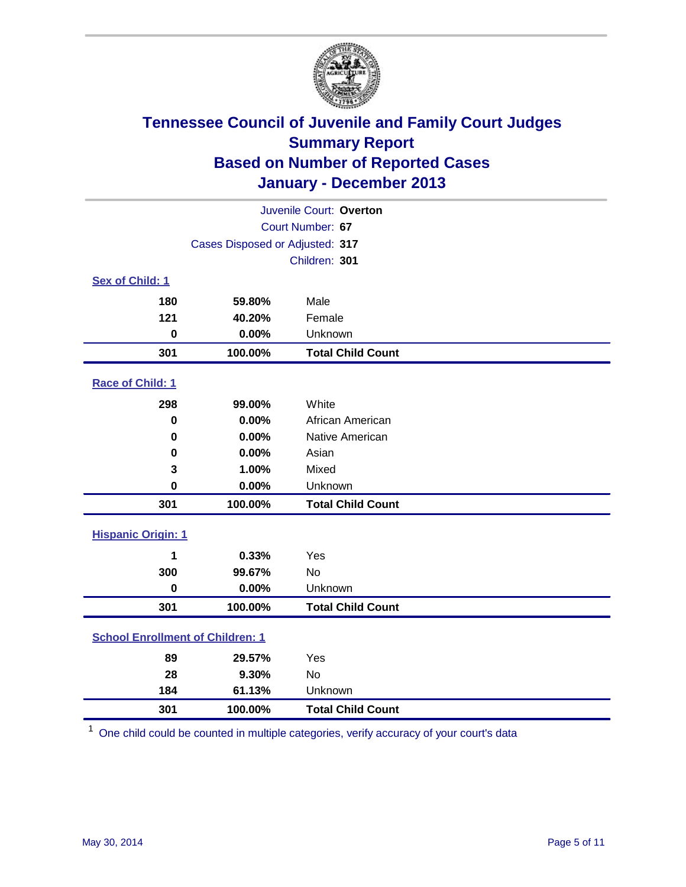

| Juvenile Court: Overton                 |                                 |                          |  |
|-----------------------------------------|---------------------------------|--------------------------|--|
|                                         | Court Number: 67                |                          |  |
|                                         | Cases Disposed or Adjusted: 317 |                          |  |
|                                         |                                 | Children: 301            |  |
| Sex of Child: 1                         |                                 |                          |  |
| 180                                     | 59.80%                          | Male                     |  |
| 121                                     | 40.20%                          | Female                   |  |
| $\bf{0}$                                | 0.00%                           | Unknown                  |  |
| 301                                     | 100.00%                         | <b>Total Child Count</b> |  |
| Race of Child: 1                        |                                 |                          |  |
| 298                                     | 99.00%                          | White                    |  |
| $\mathbf 0$                             | 0.00%                           | African American         |  |
| $\mathbf 0$                             | 0.00%                           | Native American          |  |
| 0                                       | 0.00%                           | Asian                    |  |
| 3                                       | 1.00%                           | Mixed                    |  |
| 0                                       | 0.00%                           | Unknown                  |  |
| 301                                     | 100.00%                         | <b>Total Child Count</b> |  |
| <b>Hispanic Origin: 1</b>               |                                 |                          |  |
| 1                                       | 0.33%                           | Yes                      |  |
| 300                                     | 99.67%                          | <b>No</b>                |  |
| $\mathbf 0$                             | 0.00%                           | Unknown                  |  |
| 301                                     | 100.00%                         | <b>Total Child Count</b> |  |
| <b>School Enrollment of Children: 1</b> |                                 |                          |  |
| 89                                      | 29.57%                          | Yes                      |  |
| 28                                      | 9.30%                           | <b>No</b>                |  |
| 184                                     | 61.13%                          | Unknown                  |  |
| 301                                     | 100.00%                         | <b>Total Child Count</b> |  |

One child could be counted in multiple categories, verify accuracy of your court's data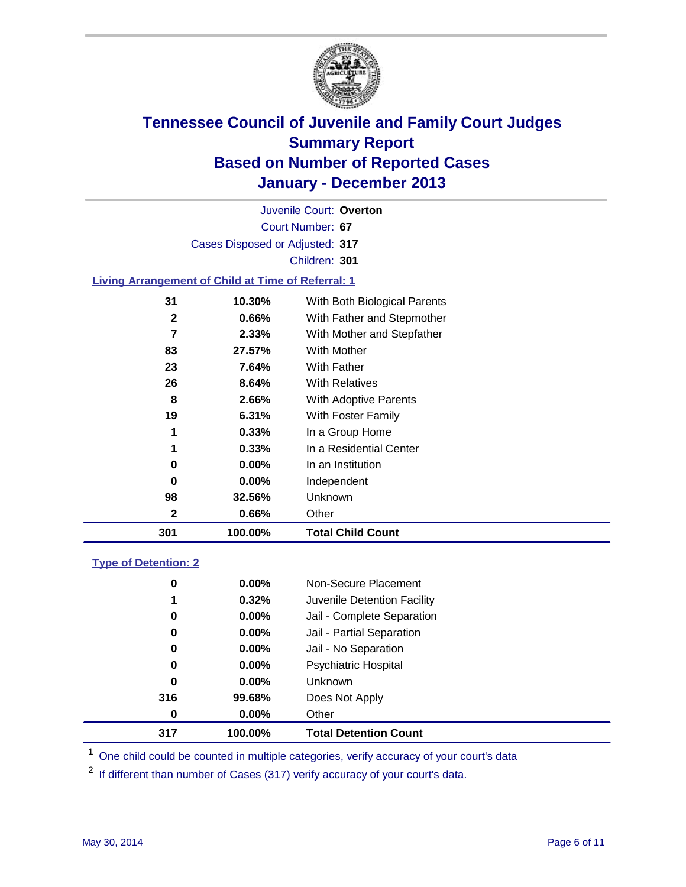

Court Number: **67** Juvenile Court: **Overton** Cases Disposed or Adjusted: **317** Children: **301**

### **Living Arrangement of Child at Time of Referral: 1**

| 301          | 100.00%  | <b>Total Child Count</b>     |
|--------------|----------|------------------------------|
| 2            | 0.66%    | Other                        |
| 98           | 32.56%   | Unknown                      |
| 0            | $0.00\%$ | Independent                  |
| 0            | 0.00%    | In an Institution            |
| 1            | 0.33%    | In a Residential Center      |
| 1            | 0.33%    | In a Group Home              |
| 19           | 6.31%    | With Foster Family           |
| 8            | 2.66%    | <b>With Adoptive Parents</b> |
| 26           | 8.64%    | <b>With Relatives</b>        |
| 23           | 7.64%    | With Father                  |
| 83           | 27.57%   | With Mother                  |
| 7            | 2.33%    | With Mother and Stepfather   |
| $\mathbf{2}$ | 0.66%    | With Father and Stepmother   |
| 31           | 10.30%   | With Both Biological Parents |
|              |          |                              |

#### **Type of Detention: 2**

| 317 | 100.00%  | <b>Total Detention Count</b> |
|-----|----------|------------------------------|
| 0   | $0.00\%$ | Other                        |
| 316 | 99.68%   | Does Not Apply               |
| 0   | $0.00\%$ | <b>Unknown</b>               |
| 0   | $0.00\%$ | <b>Psychiatric Hospital</b>  |
| 0   | 0.00%    | Jail - No Separation         |
| 0   | $0.00\%$ | Jail - Partial Separation    |
| 0   | 0.00%    | Jail - Complete Separation   |
| 1   | 0.32%    | Juvenile Detention Facility  |
| 0   | 0.00%    | Non-Secure Placement         |
|     |          |                              |

<sup>1</sup> One child could be counted in multiple categories, verify accuracy of your court's data

If different than number of Cases (317) verify accuracy of your court's data.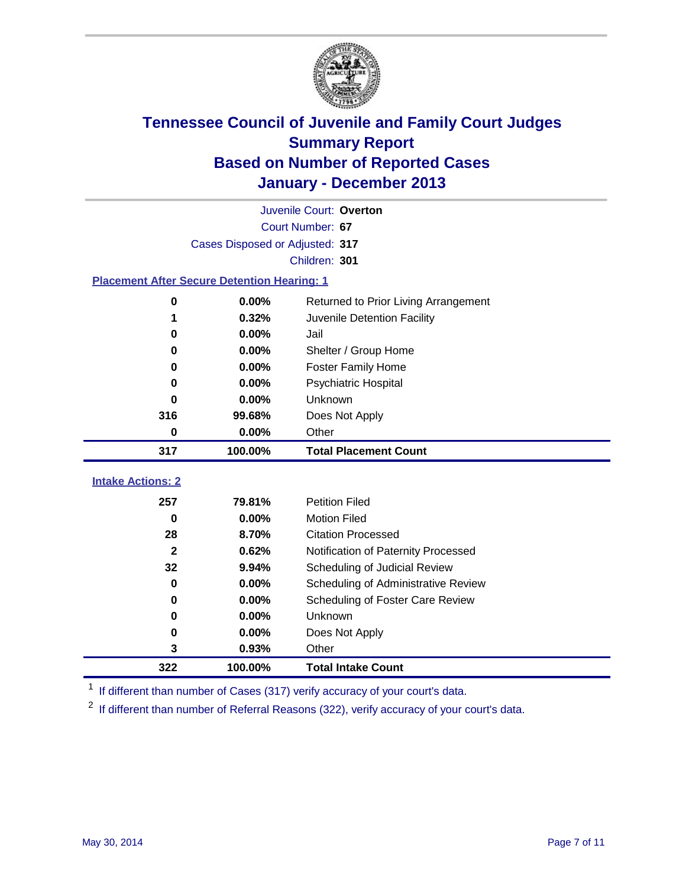

| Juvenile Court: Overton                            |                                 |                                      |  |  |  |  |  |
|----------------------------------------------------|---------------------------------|--------------------------------------|--|--|--|--|--|
|                                                    | Court Number: 67                |                                      |  |  |  |  |  |
|                                                    | Cases Disposed or Adjusted: 317 |                                      |  |  |  |  |  |
|                                                    | Children: 301                   |                                      |  |  |  |  |  |
| <b>Placement After Secure Detention Hearing: 1</b> |                                 |                                      |  |  |  |  |  |
| 0                                                  | 0.00%                           | Returned to Prior Living Arrangement |  |  |  |  |  |
| 1                                                  | 0.32%                           | Juvenile Detention Facility          |  |  |  |  |  |
| 0                                                  | 0.00%                           | Jail                                 |  |  |  |  |  |
| 0                                                  | 0.00%                           | Shelter / Group Home                 |  |  |  |  |  |
| $\bf{0}$                                           | 0.00%                           | <b>Foster Family Home</b>            |  |  |  |  |  |
| $\bf{0}$                                           | 0.00%                           | <b>Psychiatric Hospital</b>          |  |  |  |  |  |
| 0                                                  | 0.00%                           | Unknown                              |  |  |  |  |  |
| 316                                                | 99.68%                          | Does Not Apply                       |  |  |  |  |  |
| $\mathbf 0$                                        | 0.00%                           | Other                                |  |  |  |  |  |
| 317                                                | 100.00%                         | <b>Total Placement Count</b>         |  |  |  |  |  |
| <b>Intake Actions: 2</b>                           |                                 |                                      |  |  |  |  |  |
| 257                                                | 79.81%                          | <b>Petition Filed</b>                |  |  |  |  |  |
| 0                                                  | 0.00%                           | <b>Motion Filed</b>                  |  |  |  |  |  |
| 28                                                 | 8.70%                           | <b>Citation Processed</b>            |  |  |  |  |  |
| $\mathbf{2}$                                       | 0.62%                           | Notification of Paternity Processed  |  |  |  |  |  |
| 32                                                 | 9.94%                           | Scheduling of Judicial Review        |  |  |  |  |  |
| 0                                                  | 0.00%                           | Scheduling of Administrative Review  |  |  |  |  |  |
| 0                                                  | 0.00%                           | Scheduling of Foster Care Review     |  |  |  |  |  |
| 0                                                  | 0.00%                           | Unknown                              |  |  |  |  |  |
| 0                                                  | 0.00%                           | Does Not Apply                       |  |  |  |  |  |
| 3                                                  | 0.93%                           | Other                                |  |  |  |  |  |
|                                                    |                                 |                                      |  |  |  |  |  |
| 322                                                | 100.00%                         | <b>Total Intake Count</b>            |  |  |  |  |  |

<sup>1</sup> If different than number of Cases (317) verify accuracy of your court's data.

<sup>2</sup> If different than number of Referral Reasons (322), verify accuracy of your court's data.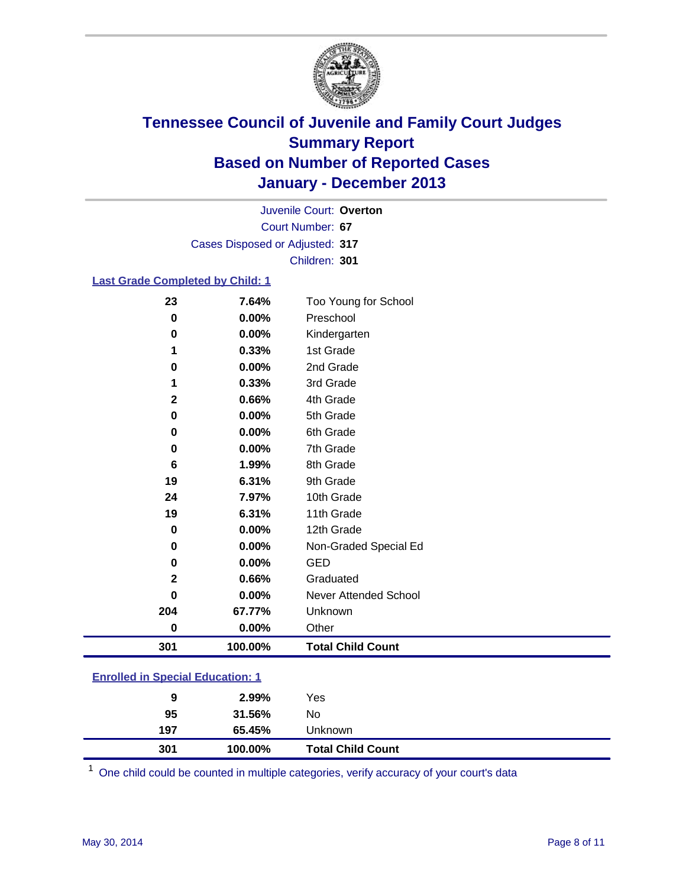

Court Number: **67** Juvenile Court: **Overton** Cases Disposed or Adjusted: **317** Children: **301**

#### **Last Grade Completed by Child: 1**

| 23           | 7.64%   | Too Young for School         |
|--------------|---------|------------------------------|
| 0            | 0.00%   | Preschool                    |
| 0            | 0.00%   | Kindergarten                 |
| 1            | 0.33%   | 1st Grade                    |
| 0            | 0.00%   | 2nd Grade                    |
| 1            | 0.33%   | 3rd Grade                    |
| 2            | 0.66%   | 4th Grade                    |
| 0            | 0.00%   | 5th Grade                    |
| 0            | 0.00%   | 6th Grade                    |
| 0            | 0.00%   | 7th Grade                    |
| 6            | 1.99%   | 8th Grade                    |
| 19           | 6.31%   | 9th Grade                    |
| 24           | 7.97%   | 10th Grade                   |
| 19           | 6.31%   | 11th Grade                   |
| 0            | 0.00%   | 12th Grade                   |
| $\bf{0}$     | 0.00%   | Non-Graded Special Ed        |
| 0            | 0.00%   | <b>GED</b>                   |
| $\mathbf{2}$ | 0.66%   | Graduated                    |
| O            | 0.00%   | <b>Never Attended School</b> |
| 204          | 67.77%  | Unknown                      |
| $\bf{0}$     | 0.00%   | Other                        |
| 301          | 100.00% | <b>Total Child Count</b>     |

### **Enrolled in Special Education: 1**

One child could be counted in multiple categories, verify accuracy of your court's data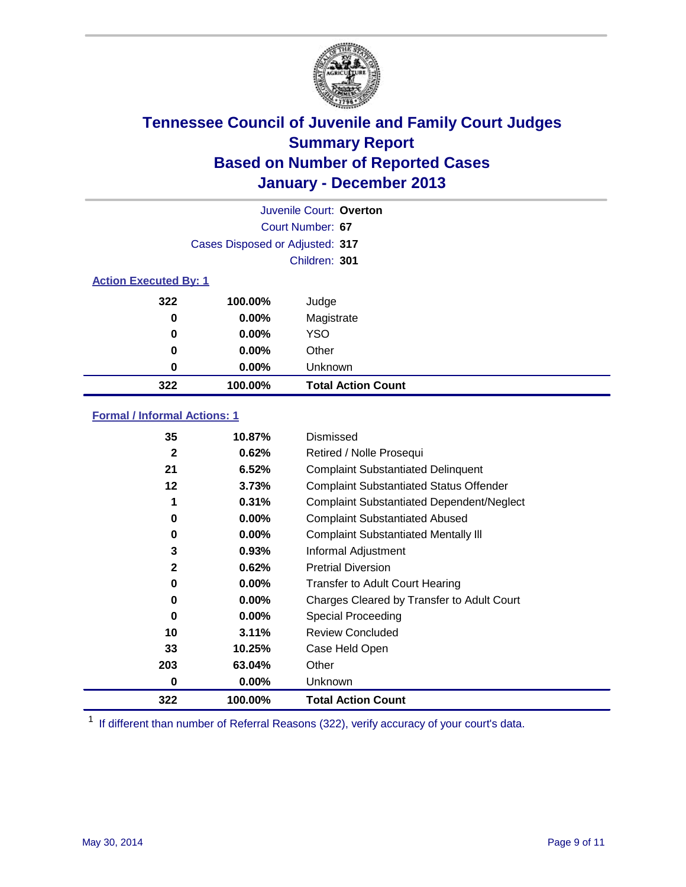

|                              |                                 | Juvenile Court: Overton   |
|------------------------------|---------------------------------|---------------------------|
|                              |                                 | Court Number: 67          |
|                              | Cases Disposed or Adjusted: 317 |                           |
|                              |                                 | Children: 301             |
| <b>Action Executed By: 1</b> |                                 |                           |
| 322                          | 100.00%                         | Judge                     |
| 0                            | $0.00\%$                        | Magistrate                |
| 0                            | $0.00\%$                        | <b>YSO</b>                |
| 0                            | $0.00\%$                        | Other                     |
| 0                            | $0.00\%$                        | Unknown                   |
| 322                          | 100.00%                         | <b>Total Action Count</b> |

### **Formal / Informal Actions: 1**

| 35           | 10.87%   | Dismissed                                        |
|--------------|----------|--------------------------------------------------|
| $\mathbf{2}$ | 0.62%    | Retired / Nolle Prosequi                         |
| 21           | 6.52%    | <b>Complaint Substantiated Delinquent</b>        |
| 12           | 3.73%    | <b>Complaint Substantiated Status Offender</b>   |
| 1            | 0.31%    | <b>Complaint Substantiated Dependent/Neglect</b> |
| 0            | $0.00\%$ | <b>Complaint Substantiated Abused</b>            |
| 0            | 0.00%    | <b>Complaint Substantiated Mentally III</b>      |
| 3            | 0.93%    | Informal Adjustment                              |
| $\mathbf{2}$ | 0.62%    | <b>Pretrial Diversion</b>                        |
| 0            | $0.00\%$ | <b>Transfer to Adult Court Hearing</b>           |
| 0            | $0.00\%$ | Charges Cleared by Transfer to Adult Court       |
| 0            | $0.00\%$ | Special Proceeding                               |
| 10           | 3.11%    | <b>Review Concluded</b>                          |
| 33           | 10.25%   | Case Held Open                                   |
| 203          | 63.04%   | Other                                            |
| 0            | $0.00\%$ | Unknown                                          |
| 322          | 100.00%  | <b>Total Action Count</b>                        |

<sup>1</sup> If different than number of Referral Reasons (322), verify accuracy of your court's data.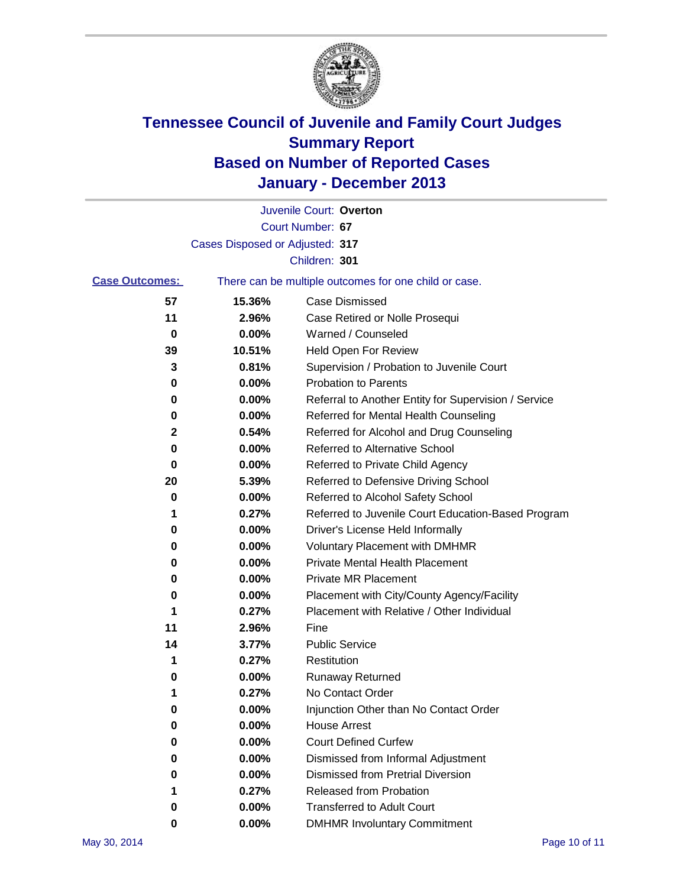

|                       |                                 | Juvenile Court: Overton                               |
|-----------------------|---------------------------------|-------------------------------------------------------|
|                       |                                 | Court Number: 67                                      |
|                       | Cases Disposed or Adjusted: 317 |                                                       |
|                       |                                 | Children: 301                                         |
| <b>Case Outcomes:</b> |                                 | There can be multiple outcomes for one child or case. |
| 57                    | 15.36%                          | Case Dismissed                                        |
| 11                    | 2.96%                           | Case Retired or Nolle Prosequi                        |
| 0                     | 0.00%                           | Warned / Counseled                                    |
| 39                    | 10.51%                          | Held Open For Review                                  |
| 3                     | 0.81%                           | Supervision / Probation to Juvenile Court             |
| 0                     | 0.00%                           | <b>Probation to Parents</b>                           |
| 0                     | 0.00%                           | Referral to Another Entity for Supervision / Service  |
| 0                     | 0.00%                           | Referred for Mental Health Counseling                 |
| 2                     | 0.54%                           | Referred for Alcohol and Drug Counseling              |
| 0                     | 0.00%                           | <b>Referred to Alternative School</b>                 |
| 0                     | 0.00%                           | Referred to Private Child Agency                      |
| 20                    | 5.39%                           | Referred to Defensive Driving School                  |
| 0                     | 0.00%                           | Referred to Alcohol Safety School                     |
| 1                     | 0.27%                           | Referred to Juvenile Court Education-Based Program    |
| 0                     | 0.00%                           | Driver's License Held Informally                      |
| 0                     | 0.00%                           | <b>Voluntary Placement with DMHMR</b>                 |
| 0                     | 0.00%                           | <b>Private Mental Health Placement</b>                |
| 0                     | 0.00%                           | <b>Private MR Placement</b>                           |
| 0                     | 0.00%                           | Placement with City/County Agency/Facility            |
| 1                     | 0.27%                           | Placement with Relative / Other Individual            |
| 11                    | 2.96%                           | Fine                                                  |
| 14                    | 3.77%                           | <b>Public Service</b>                                 |
| 1                     | 0.27%                           | Restitution                                           |
| 0                     | 0.00%                           | <b>Runaway Returned</b>                               |
| 1                     | 0.27%                           | No Contact Order                                      |
| 0                     | 0.00%                           | Injunction Other than No Contact Order                |
| 0                     | 0.00%                           | <b>House Arrest</b>                                   |
| 0                     | 0.00%                           | <b>Court Defined Curfew</b>                           |
| 0                     | 0.00%                           | Dismissed from Informal Adjustment                    |
| 0                     | 0.00%                           | Dismissed from Pretrial Diversion                     |
| 1                     | 0.27%                           | Released from Probation                               |
| 0                     | 0.00%                           | <b>Transferred to Adult Court</b>                     |
| 0                     | 0.00%                           | <b>DMHMR Involuntary Commitment</b>                   |